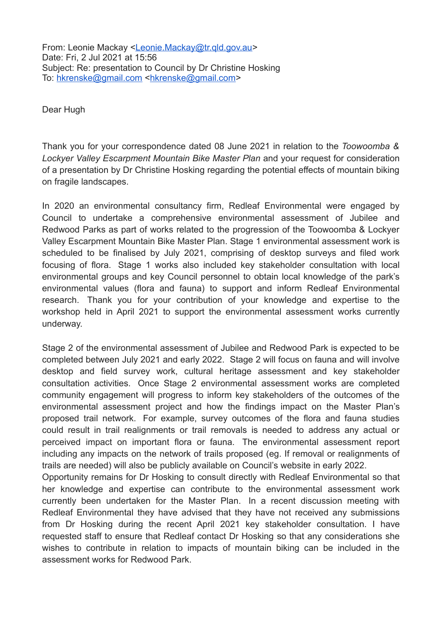From: Leonie Mackay [<Leonie.Mackay@tr.qld.gov.au](mailto:Leonie.Mackay@tr.qld.gov.au)> Date: Fri, 2 Jul 2021 at 15:56 Subject: Re: presentation to Council by Dr Christine Hosking To: [hkrenske@gmail.com](mailto:hkrenske@gmail.com) [<hkrenske@gmail.com>](mailto:hkrenske@gmail.com)

Dear Hugh

Thank you for your correspondence dated 08 June 2021 in relation to the *Toowoomba & Lockyer Valley Escarpment Mountain Bike Master Plan* and your request for consideration of a presentation by Dr Christine Hosking regarding the potential effects of mountain biking on fragile landscapes.

In 2020 an environmental consultancy firm, Redleaf Environmental were engaged by Council to undertake a comprehensive environmental assessment of Jubilee and Redwood Parks as part of works related to the progression of the Toowoomba & Lockyer Valley Escarpment Mountain Bike Master Plan. Stage 1 environmental assessment work is scheduled to be finalised by July 2021, comprising of desktop surveys and filed work focusing of flora. Stage 1 works also included key stakeholder consultation with local environmental groups and key Council personnel to obtain local knowledge of the park's environmental values (flora and fauna) to support and inform Redleaf Environmental research. Thank you for your contribution of your knowledge and expertise to the workshop held in April 2021 to support the environmental assessment works currently underway.

Stage 2 of the environmental assessment of Jubilee and Redwood Park is expected to be completed between July 2021 and early 2022. Stage 2 will focus on fauna and will involve desktop and field survey work, cultural heritage assessment and key stakeholder consultation activities. Once Stage 2 environmental assessment works are completed community engagement will progress to inform key stakeholders of the outcomes of the environmental assessment project and how the findings impact on the Master Plan's proposed trail network. For example, survey outcomes of the flora and fauna studies could result in trail realignments or trail removals is needed to address any actual or perceived impact on important flora or fauna. The environmental assessment report including any impacts on the network of trails proposed (eg. If removal or realignments of trails are needed) will also be publicly available on Council's website in early 2022.

Opportunity remains for Dr Hosking to consult directly with Redleaf Environmental so that her knowledge and expertise can contribute to the environmental assessment work currently been undertaken for the Master Plan. In a recent discussion meeting with Redleaf Environmental they have advised that they have not received any submissions from Dr Hosking during the recent April 2021 key stakeholder consultation. I have requested staff to ensure that Redleaf contact Dr Hosking so that any considerations she wishes to contribute in relation to impacts of mountain biking can be included in the assessment works for Redwood Park.